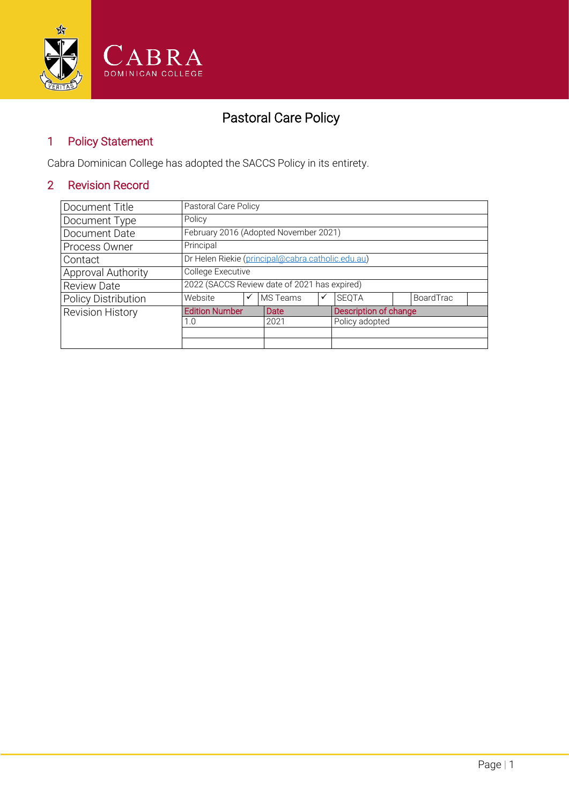

# Pastoral Care Policy

#### 1 Policy Statement

Cabra Dominican College has adopted the SACCS Policy in its entirety.

### 2 Revision Record

| Document Title             | Pastoral Care Policy                              |   |          |   |                       |  |           |  |
|----------------------------|---------------------------------------------------|---|----------|---|-----------------------|--|-----------|--|
| Document Type              | Policy                                            |   |          |   |                       |  |           |  |
| Document Date              | February 2016 (Adopted November 2021)             |   |          |   |                       |  |           |  |
| Process Owner              | Principal                                         |   |          |   |                       |  |           |  |
| Contact                    | Dr Helen Riekie (principal@cabra.catholic.edu.au) |   |          |   |                       |  |           |  |
| Approval Authority         | College Executive                                 |   |          |   |                       |  |           |  |
| <b>Review Date</b>         | 2022 (SACCS Review date of 2021 has expired)      |   |          |   |                       |  |           |  |
| <b>Policy Distribution</b> | Website                                           | ✓ | MS Teams | ✓ | <b>SEOTA</b>          |  | BoardTrac |  |
| <b>Revision History</b>    | <b>Edition Number</b>                             |   | Date     |   | Description of change |  |           |  |
|                            | 1.0                                               |   | 2021     |   | Policy adopted        |  |           |  |
|                            |                                                   |   |          |   |                       |  |           |  |
|                            |                                                   |   |          |   |                       |  |           |  |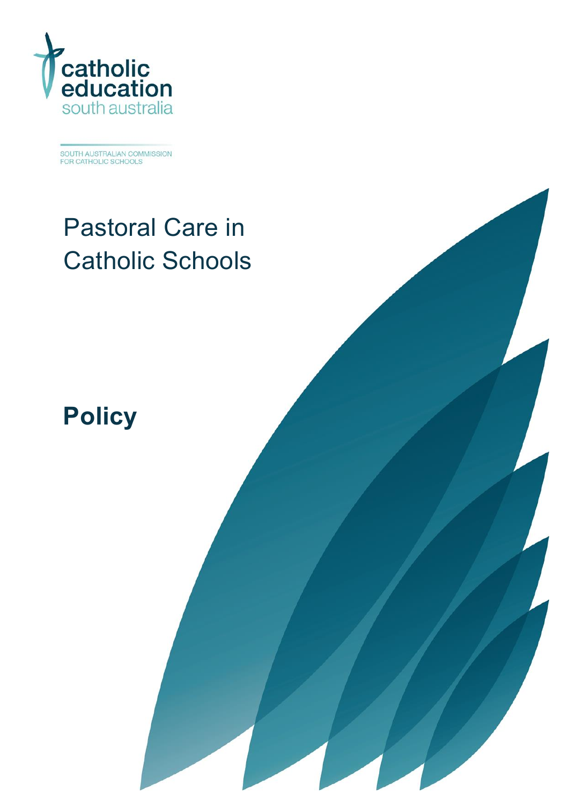

SOUTH AUSTRALIAN COMMISSION<br>FOR CATHOLIC SCHOOLS

# Pastoral Care in Catholic Schools

**Policy**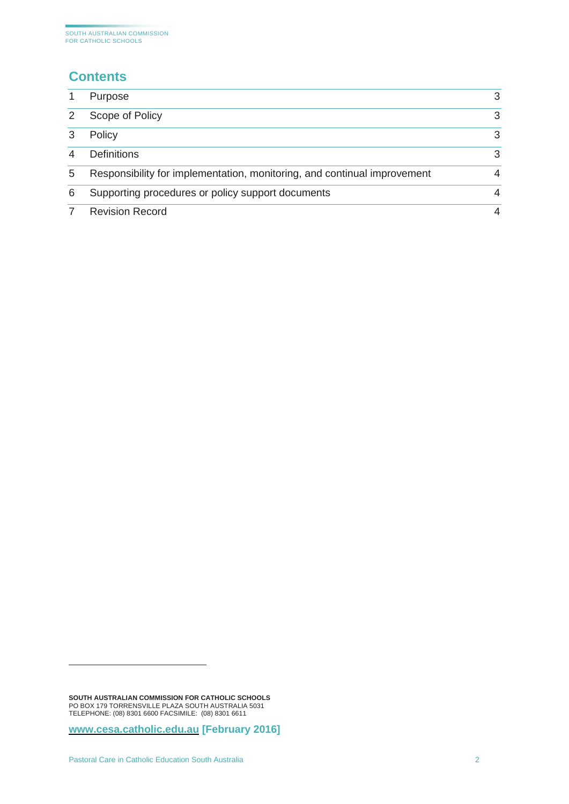## **Contents**

|               | Purpose                                                                  | 3 |
|---------------|--------------------------------------------------------------------------|---|
| $\mathcal{P}$ | Scope of Policy                                                          | 3 |
| 3             | Policy                                                                   | 3 |
|               | <b>Definitions</b>                                                       | 3 |
| 5             | Responsibility for implementation, monitoring, and continual improvement | 4 |
| 6             | Supporting procedures or policy support documents                        | 4 |
|               | <b>Revision Record</b>                                                   | 4 |

**SOUTH AUSTRALIAN COMMISSION FOR CATHOLIC SCHOOLS** PO BOX 179 TORRENSVILLE PLAZA SOUTH AUSTRALIA 5031 TELEPHONE: (08) 8301 6600 FACSIMILE: (08) 8301 6611

**[www.cesa.catholic.edu.au](http://www.cesa.catholic.edu.au/) [February 2016]**

-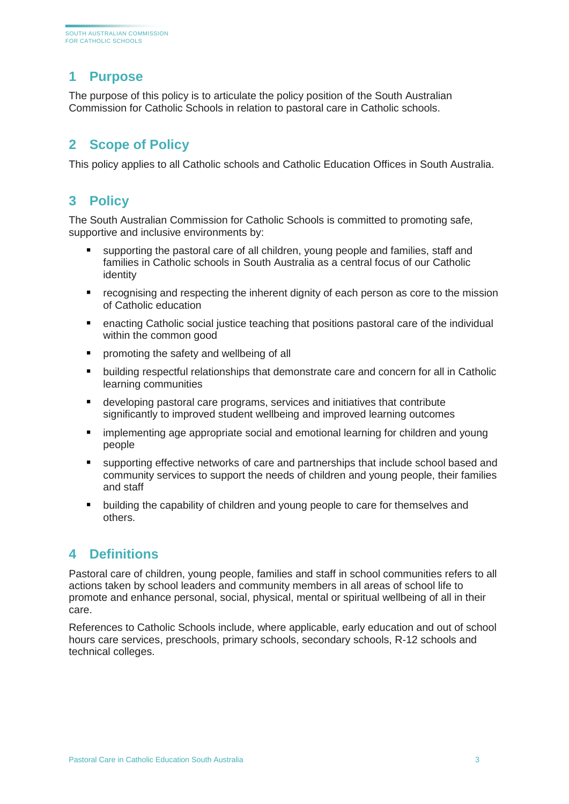#### <span id="page-3-0"></span>**1 Purpose**

The purpose of this policy is to articulate the policy position of the South Australian Commission for Catholic Schools in relation to pastoral care in Catholic schools.

#### <span id="page-3-1"></span>**2 Scope of Policy**

This policy applies to all Catholic schools and Catholic Education Offices in South Australia.

#### <span id="page-3-2"></span>**3 Policy**

The South Australian Commission for Catholic Schools is committed to promoting safe, supportive and inclusive environments by:

- supporting the pastoral care of all children, young people and families, staff and families in Catholic schools in South Australia as a central focus of our Catholic identity
- **F** recognising and respecting the inherent dignity of each person as core to the mission of Catholic education
- enacting Catholic social justice teaching that positions pastoral care of the individual within the common good
- **P** promoting the safety and wellbeing of all
- building respectful relationships that demonstrate care and concern for all in Catholic learning communities
- developing pastoral care programs, services and initiatives that contribute significantly to improved student wellbeing and improved learning outcomes
- **EXTERN** implementing age appropriate social and emotional learning for children and young people
- supporting effective networks of care and partnerships that include school based and community services to support the needs of children and young people, their families and staff
- building the capability of children and young people to care for themselves and others.

#### <span id="page-3-3"></span>**4 Definitions**

Pastoral care of children, young people, families and staff in school communities refers to all actions taken by school leaders and community members in all areas of school life to promote and enhance personal, social, physical, mental or spiritual wellbeing of all in their care.

References to Catholic Schools include, where applicable, early education and out of school hours care services, preschools, primary schools, secondary schools, R-12 schools and technical colleges.